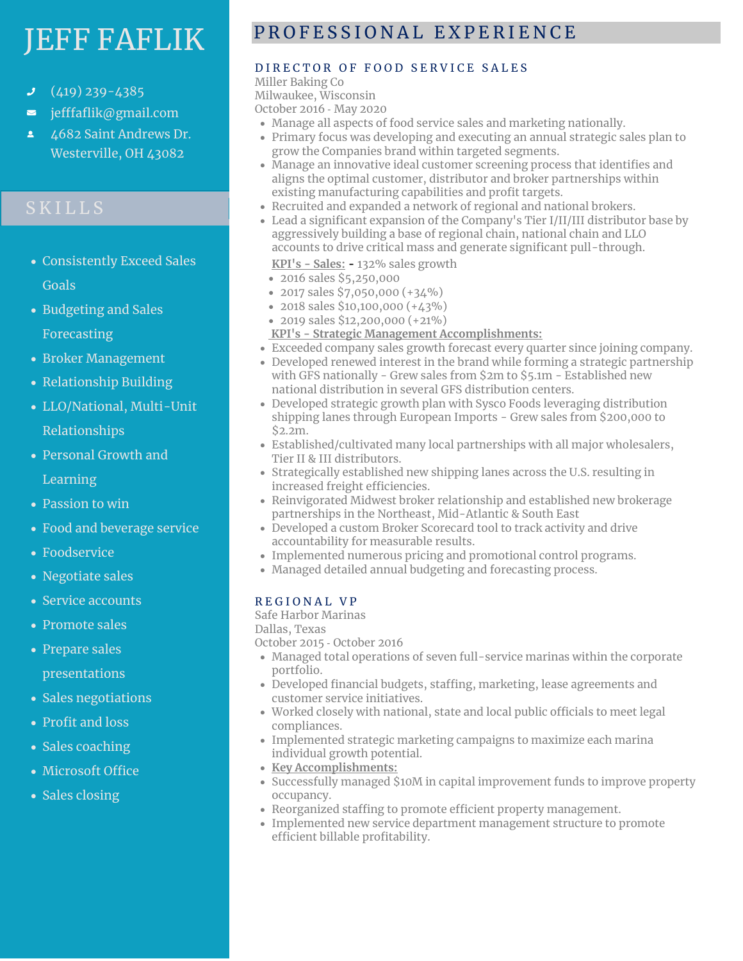# JEFF FAFLIK

- (419) 239-4385
- jefffaflik@gmail.com  $\overline{\phantom{0}}$
- 4682 Saint Andrews Dr. Westerville, OH 43082

- Consistently Exceed Sales Goals
- Budgeting and Sales Forecasting
- Broker Management
- Relationship Building
- LLO/National, Multi-Unit Relationships
- Personal Growth and Learning

- Passion to win
- Food and beverage service
- Foodservice
- Negotiate sales
- Service accounts
- Promote sales
- Prepare sales presentations
- Sales negotiations
- Profit and loss
- Sales coaching
- Microsoft Office
- Sales closing

# P R O F E S S I O N A L E X P E R I E N C E

### DIRECTOR OF FOOD SERVICE SALES

Miller Baking Co Milwaukee, Wisconsin

October 2016 ‐ May 2020

- Manage all aspects of food service sales and marketing nationally.
- Primary focus was developing and executing an annual strategic sales plan to grow the Companies brand within targeted segments.
- Manage an innovative ideal customer screening process that identifies and aligns the optimal customer, distributor and broker partnerships within existing manufacturing capabilities and profit targets.
- Recruited and expanded a network of regional and national brokers.
- Lead a significant expansion of the Company's Tier I/II/III distributor base by aggressively building a base of regional chain, national chain and LLO accounts to drive critical mass and generate significant pull-through.
	- **KPI's - Sales:** 132% sales growth
- 2016 sales \$5,250,000
- 2017 sales \$7,050,000 (+34%)
- 2018 sales \$10,100,000 (+43%)
- 2019 sales \$12,200,000 (+21%)
- **KPI's - Strategic Management Accomplishments:**
- Exceeded company sales growth forecast every quarter since joining company.
- Developed renewed interest in the brand while forming a strategic partnership with GFS nationally - Grew sales from \$2m to \$5.1m - Established new national distribution in several GFS distribution centers.
- Developed strategic growth plan with Sysco Foods leveraging distribution shipping lanes through European Imports - Grew sales from \$200,000 to \$2.2m.
- Established/cultivated many local partnerships with all major wholesalers, Tier II & III distributors.
- Strategically established new shipping lanes across the U.S. resulting in increased freight efficiencies.
- Reinvigorated Midwest broker relationship and established new brokerage partnerships in the Northeast, Mid-Atlantic & South East
- Developed a custom Broker Scorecard tool to track activity and drive accountability for measurable results.
- Implemented numerous pricing and promotional control programs.
- Managed detailed annual budgeting and forecasting process.

#### R E G I O N A L V P

Safe Harbor Marinas

Dallas, Texas

October 2015 ‐ October 2016

- Managed total operations of seven full-service marinas within the corporate portfolio.
- Developed financial budgets, staffing, marketing, lease agreements and customer service initiatives.
- Worked closely with national, state and local public officials to meet legal compliances.
- Implemented strategic marketing campaigns to maximize each marina individual growth potential.
- **Key Accomplishments:**
- Successfully managed \$10M in capital improvement funds to improve property occupancy.
- Reorganized staffing to promote efficient property management.
- Implemented new service department management structure to promote efficient billable profitability.